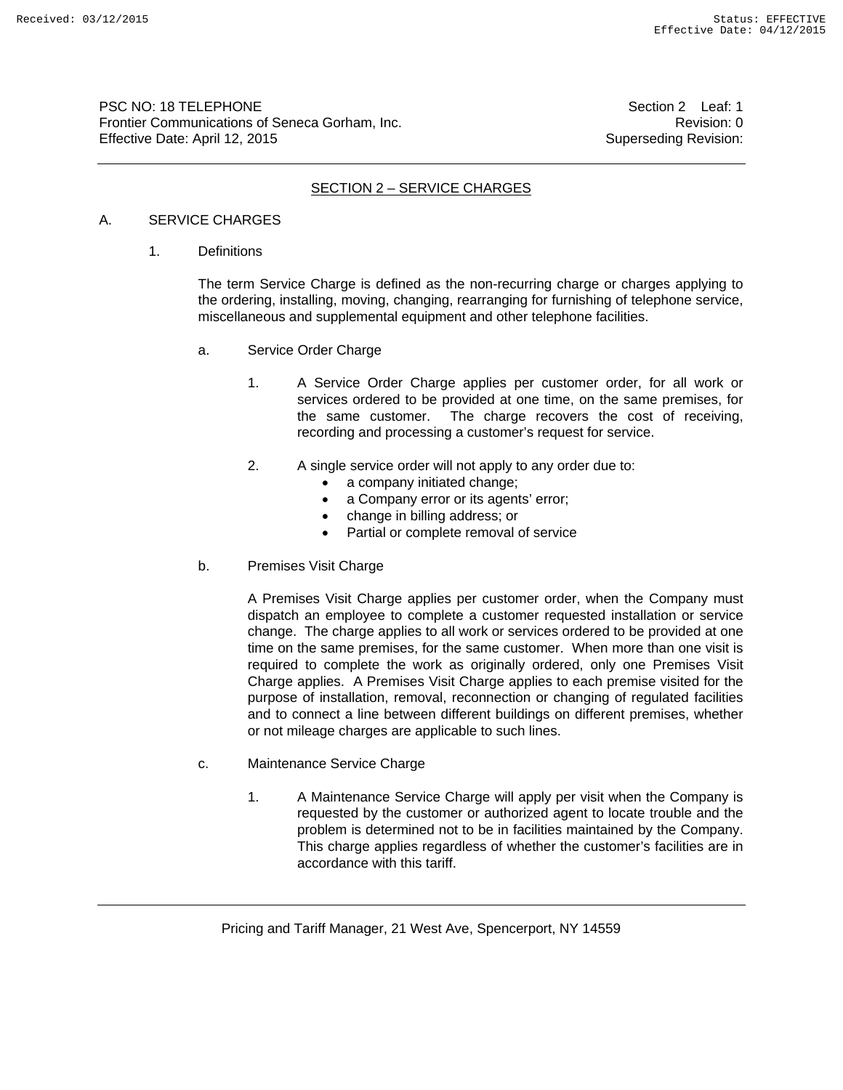PSC NO: 18 TELEPHONE **Section 2** Leaf: 1 Frontier Communications of Seneca Gorham, Inc. **Example 2018** 2019 12:30 Revision: 0 Effective Date: April 12, 2015 Superseding Revision:

## SECTION 2 – SERVICE CHARGES

#### A. SERVICE CHARGES

1. Definitions

The term Service Charge is defined as the non-recurring charge or charges applying to the ordering, installing, moving, changing, rearranging for furnishing of telephone service, miscellaneous and supplemental equipment and other telephone facilities.

- a. Service Order Charge
	- 1. A Service Order Charge applies per customer order, for all work or services ordered to be provided at one time, on the same premises, for the same customer. The charge recovers the cost of receiving, recording and processing a customer's request for service.
	- 2. A single service order will not apply to any order due to:
		- a company initiated change;
		- a Company error or its agents' error;
		- change in billing address; or
		- Partial or complete removal of service
- b. Premises Visit Charge

A Premises Visit Charge applies per customer order, when the Company must dispatch an employee to complete a customer requested installation or service change. The charge applies to all work or services ordered to be provided at one time on the same premises, for the same customer. When more than one visit is required to complete the work as originally ordered, only one Premises Visit Charge applies. A Premises Visit Charge applies to each premise visited for the purpose of installation, removal, reconnection or changing of regulated facilities and to connect a line between different buildings on different premises, whether or not mileage charges are applicable to such lines.

- c. Maintenance Service Charge
	- 1. A Maintenance Service Charge will apply per visit when the Company is requested by the customer or authorized agent to locate trouble and the problem is determined not to be in facilities maintained by the Company. This charge applies regardless of whether the customer's facilities are in accordance with this tariff.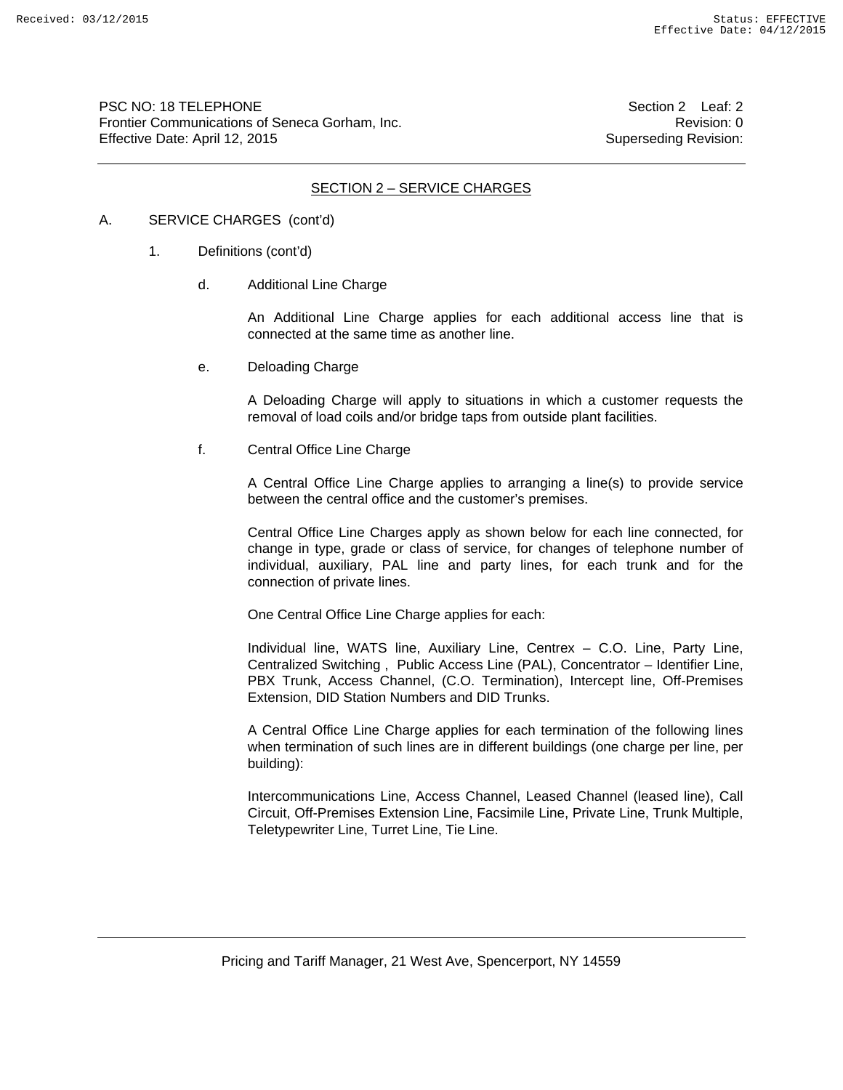PSC NO: 18 TELEPHONE Section 2 Leaf: 2 Frontier Communications of Seneca Gorham, Inc. **Example 2018** 2019 12:30 Revision: 0 Effective Date: April 12, 2015 Superseding Revision:

### SECTION 2 – SERVICE CHARGES

#### A. SERVICE CHARGES (cont'd)

- 1. Definitions (cont'd)
	- d. Additional Line Charge

An Additional Line Charge applies for each additional access line that is connected at the same time as another line.

e. Deloading Charge

A Deloading Charge will apply to situations in which a customer requests the removal of load coils and/or bridge taps from outside plant facilities.

f. Central Office Line Charge

A Central Office Line Charge applies to arranging a line(s) to provide service between the central office and the customer's premises.

Central Office Line Charges apply as shown below for each line connected, for change in type, grade or class of service, for changes of telephone number of individual, auxiliary, PAL line and party lines, for each trunk and for the connection of private lines.

One Central Office Line Charge applies for each:

Individual line, WATS line, Auxiliary Line, Centrex – C.O. Line, Party Line, Centralized Switching , Public Access Line (PAL), Concentrator – Identifier Line, PBX Trunk, Access Channel, (C.O. Termination), Intercept line, Off-Premises Extension, DID Station Numbers and DID Trunks.

A Central Office Line Charge applies for each termination of the following lines when termination of such lines are in different buildings (one charge per line, per building):

Intercommunications Line, Access Channel, Leased Channel (leased line), Call Circuit, Off-Premises Extension Line, Facsimile Line, Private Line, Trunk Multiple, Teletypewriter Line, Turret Line, Tie Line.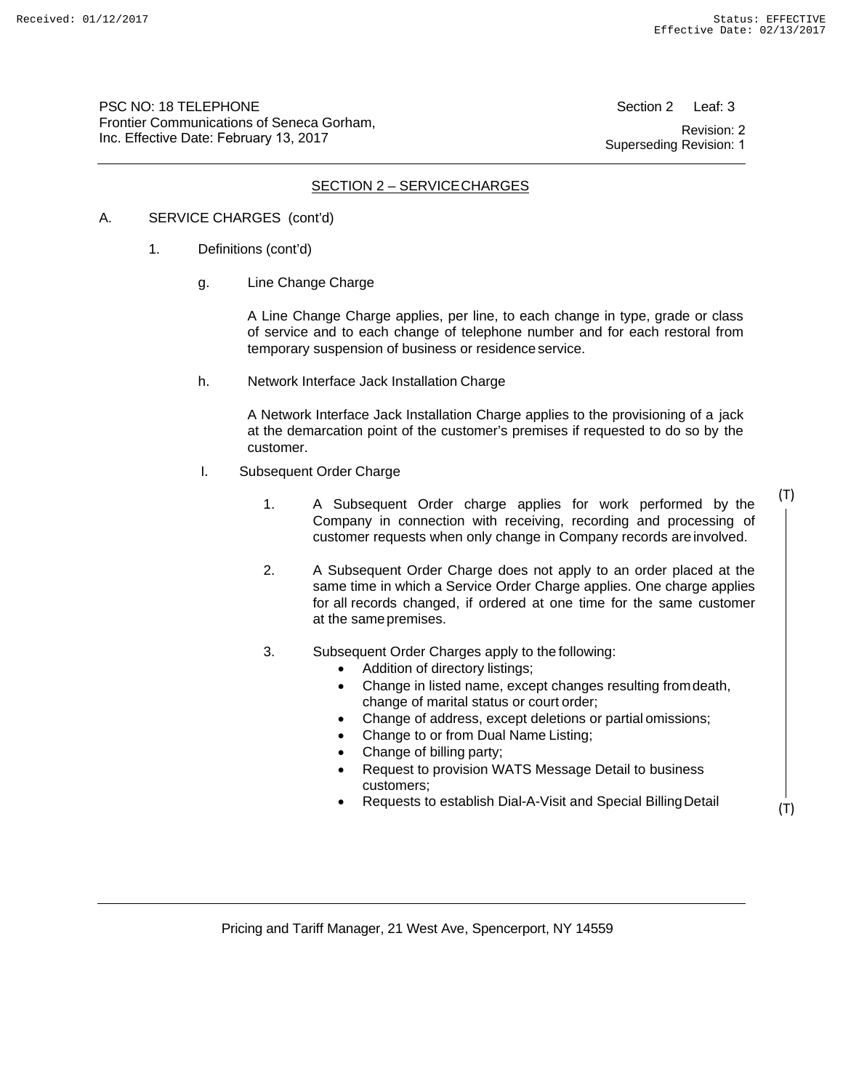PSC NO: 18 TELEPHONE Frontier Communications of Seneca Gorham, Inc. Effective Date: February 13, 2017

Section 2 Leaf: 3 Revision: 2 Superseding Revision: 1

## SECTION 2 – SERVICE CHARGES

### A. SERVICE CHARGES (cont'd)

- 1. Definitions (cont'd)
	- g. Line Change Charge

A Line Change Charge applies, per line, to each change in type, grade or class of service and to each change of telephone number and for each restoral from temporary suspension of business or residence service.

h. Network Interface Jack Installation Charge

A Network Interface Jack Installation Charge applies to the provisioning of a jack at the demarcation point of the customer's premises if requested to do so by the customer.

- I. Subsequent Order Charge
	- 1. A Subsequent Order charge applies for work performed by the Company in connection with receiving, recording and processing of customer requests when only change in Company records are involved.
	- 2. A Subsequent Order Charge does not apply to an order placed at the same time in which a Service Order Charge applies. One charge applies for all records changed, if ordered at one time for the same customer at the same premises.
	- 3. Subsequent Order Charges apply to the following:
		- Addition of directory listings;
		- Change in listed name, except changes resulting from death, change of marital status or court order;
		- Change of address, except deletions or partial omissions;
		- Change to or from Dual Name Listing;
		- Change of billing party;
		- Request to provision WATS Message Detail to business customers;
		- Requests to establish Dial-A-Visit and Special Billing Detail

(T)

(T)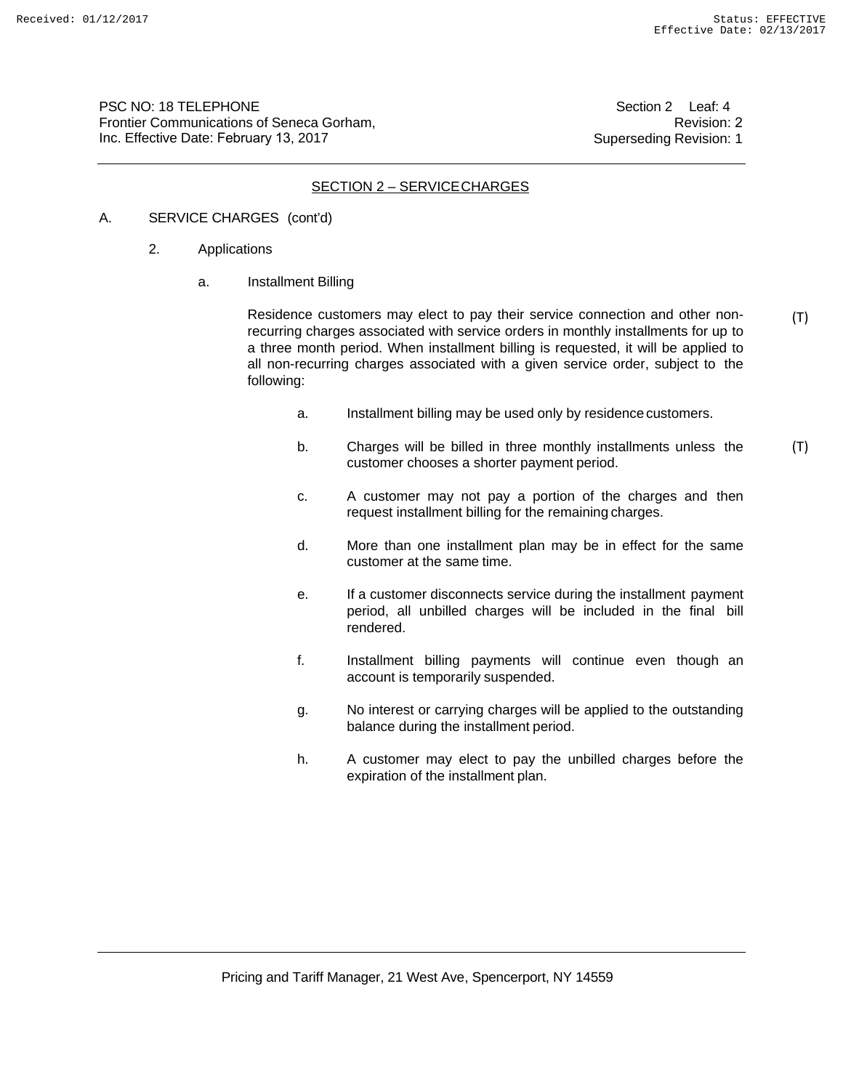PSC NO: 18 TELEPHONE Frontier Communications of Seneca Gorham, Inc. Effective Date: February 13, 2017

Section 2 Leaf: 4 Revision: 2 Superseding Revision: 1

# SECTION 2 – SERVICE CHARGES

### A. SERVICE CHARGES (cont'd)

- 2. Applications
	- a. Installment Billing

Residence customers may elect to pay their service connection and other nonrecurring charges associated with service orders in monthly installments for up to a three month period. When installment billing is requested, it will be applied to all non-recurring charges associated with a given service order, subject to the following: (T)

- a. Installment billing may be used only by residence customers.
- b. Charges will be billed in three monthly installments unless the customer chooses a shorter payment period. (T)
- c. A customer may not pay a portion of the charges and then request installment billing for the remaining charges.
- d. More than one installment plan may be in effect for the same customer at the same time.
- e. If a customer disconnects service during the installment payment period, all unbilled charges will be included in the final bill rendered.
- f. Installment billing payments will continue even though an account is temporarily suspended.
- g. No interest or carrying charges will be applied to the outstanding balance during the installment period.
- h. A customer may elect to pay the unbilled charges before the expiration of the installment plan.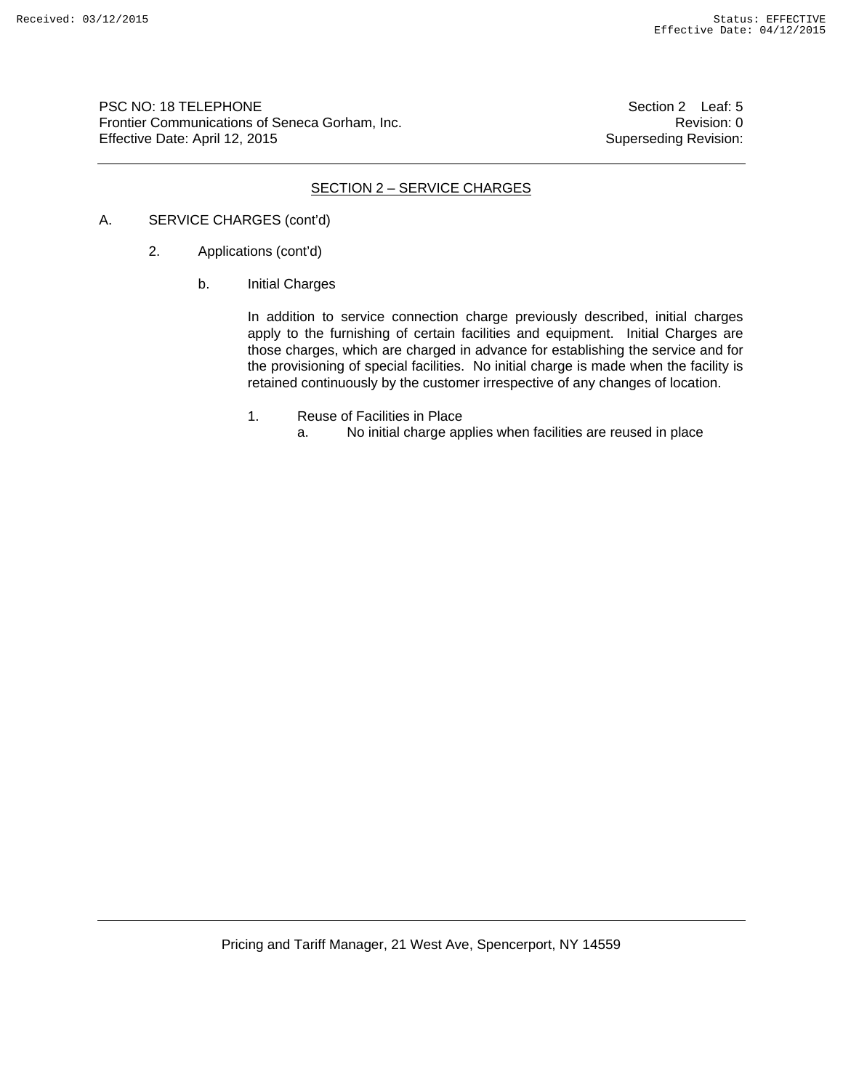PSC NO: 18 TELEPHONE Section 2 Leaf: 5 Frontier Communications of Seneca Gorham, Inc. **Example 2018** 2019 12:30 Revision: 0 Effective Date: April 12, 2015 Superseding Revision:

### SECTION 2 – SERVICE CHARGES

## A. SERVICE CHARGES (cont'd)

- 2. Applications (cont'd)
	- b. Initial Charges

In addition to service connection charge previously described, initial charges apply to the furnishing of certain facilities and equipment. Initial Charges are those charges, which are charged in advance for establishing the service and for the provisioning of special facilities. No initial charge is made when the facility is retained continuously by the customer irrespective of any changes of location.

- 1. Reuse of Facilities in Place
	- a. No initial charge applies when facilities are reused in place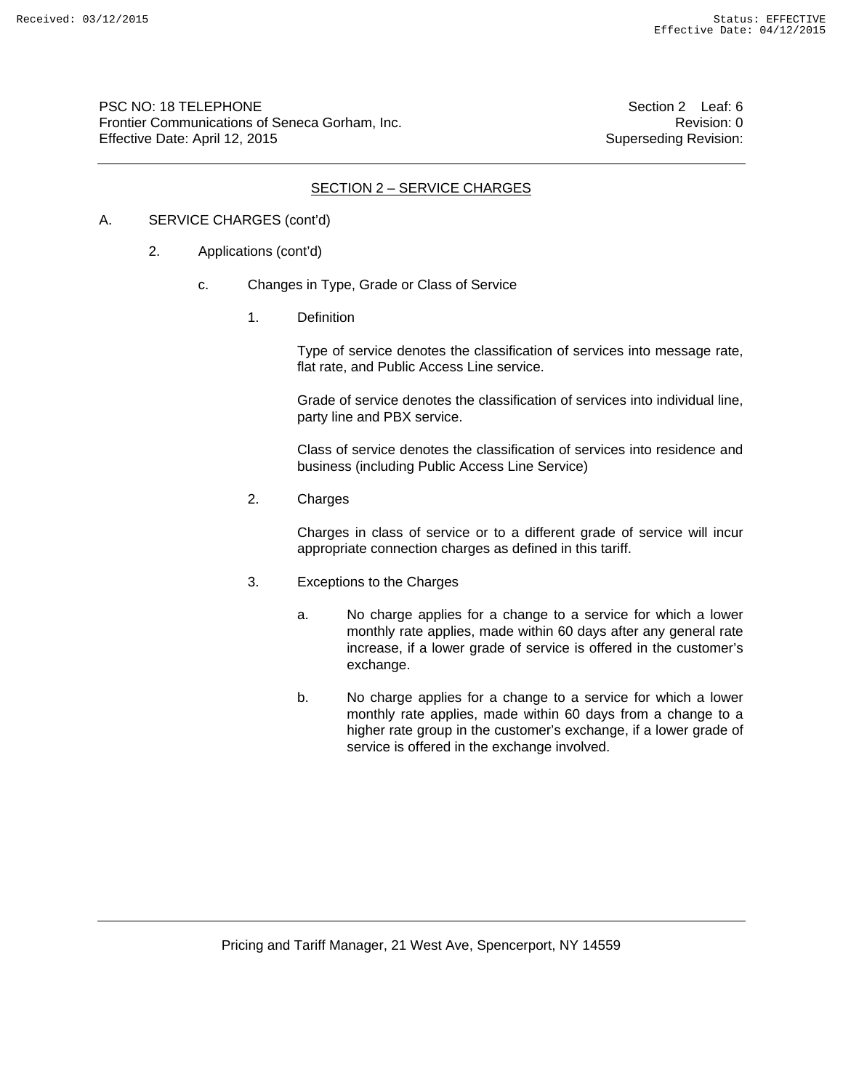PSC NO: 18 TELEPHONE Section 2 Leaf: 6 Frontier Communications of Seneca Gorham, Inc. **Revision: 0** Revision: 0 Effective Date: April 12, 2015 Superseding Revision:

### SECTION 2 – SERVICE CHARGES

# A. SERVICE CHARGES (cont'd)

- 2. Applications (cont'd)
	- c. Changes in Type, Grade or Class of Service
		- 1. Definition

Type of service denotes the classification of services into message rate, flat rate, and Public Access Line service.

Grade of service denotes the classification of services into individual line, party line and PBX service.

Class of service denotes the classification of services into residence and business (including Public Access Line Service)

2. Charges

Charges in class of service or to a different grade of service will incur appropriate connection charges as defined in this tariff.

- 3. Exceptions to the Charges
	- a. No charge applies for a change to a service for which a lower monthly rate applies, made within 60 days after any general rate increase, if a lower grade of service is offered in the customer's exchange.
	- b. No charge applies for a change to a service for which a lower monthly rate applies, made within 60 days from a change to a higher rate group in the customer's exchange, if a lower grade of service is offered in the exchange involved.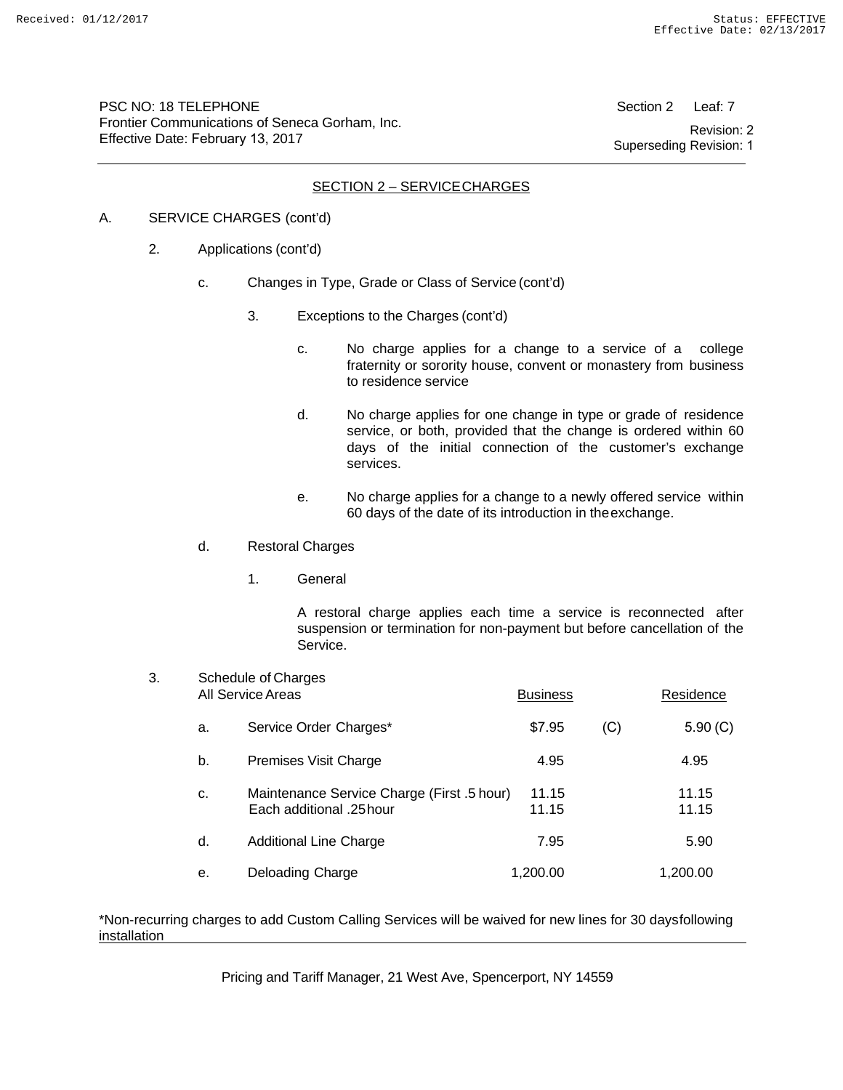PSC NO: 18 TELEPHONE Frontier Communications of Seneca Gorham, Inc. Effective Date: February 13, 2017

Section 2 Leaf: 7 Revision: 2 Superseding Revision: 1

## SECTION 2 – SERVICE CHARGES

#### A. SERVICE CHARGES (cont'd)

- 2. Applications (cont'd)
	- c. Changes in Type, Grade or Class of Service (cont'd)
		- 3. Exceptions to the Charges (cont'd)
			- c. No charge applies for a change to a service of a college fraternity or sorority house, convent or monastery from business to residence service
			- d. No charge applies for one change in type or grade of residence service, or both, provided that the change is ordered within 60 days of the initial connection of the customer's exchange services.
			- e. No charge applies for a change to a newly offered service within 60 days of the date of its introduction in the exchange.
	- d. Restoral Charges
		- 1. General

A restoral charge applies each time a service is reconnected after suspension or termination for non-payment but before cancellation of the Service.

| 3. | Schedule of Charges<br>All Service Areas |                                                                        | <b>Business</b> |     | Residence      |  |
|----|------------------------------------------|------------------------------------------------------------------------|-----------------|-----|----------------|--|
|    | a.                                       | Service Order Charges*                                                 | \$7.95          | (C) | 5.90(C)        |  |
|    | b.                                       | Premises Visit Charge                                                  | 4.95            |     | 4.95           |  |
|    | C.                                       | Maintenance Service Charge (First .5 hour)<br>Each additional .25 hour | 11.15<br>11.15  |     | 11.15<br>11.15 |  |
|    | d.                                       | <b>Additional Line Charge</b>                                          | 7.95            |     | 5.90           |  |
|    | е.                                       | Deloading Charge                                                       | 1,200.00        |     | 1,200.00       |  |

\*Non-recurring charges to add Custom Calling Services will be waived for new lines for 30 days following installation

Pricing and Tariff Manager, 21 West Ave, Spencerport, NY 14559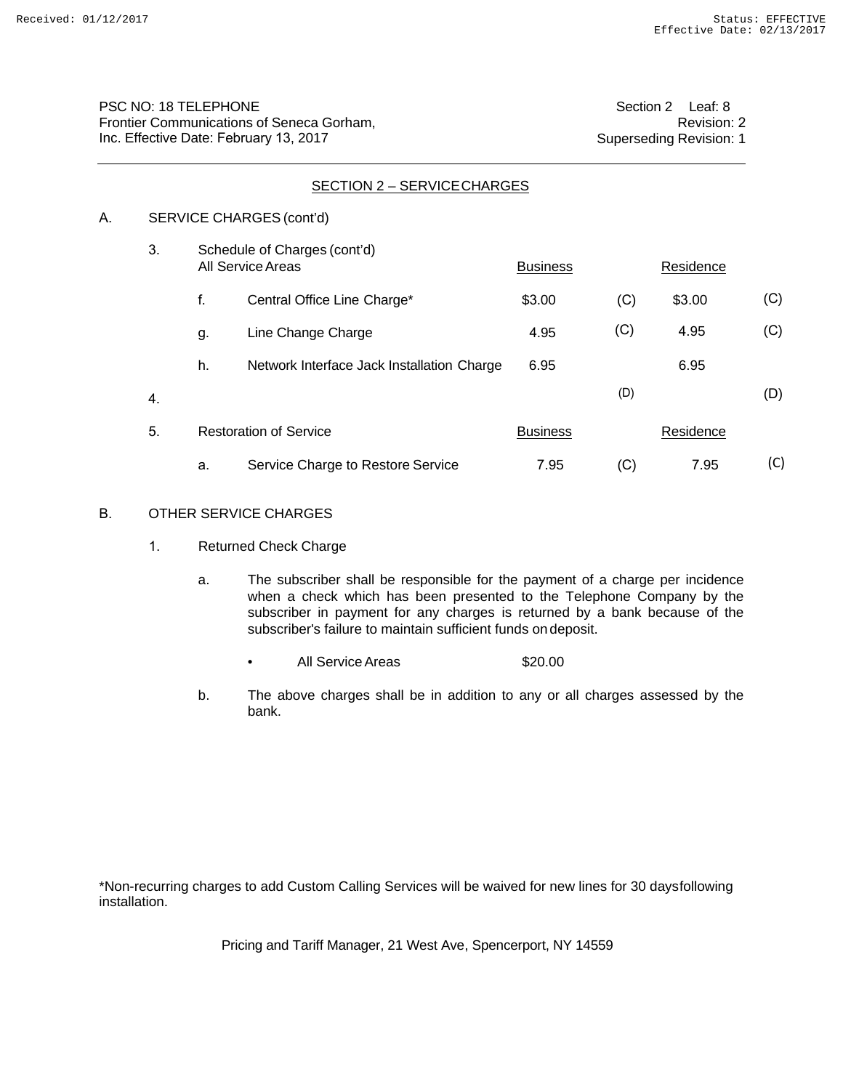| PSC NO: 18 TELEPHONE                      |
|-------------------------------------------|
| Frontier Communications of Seneca Gorham, |
| Inc. Effective Date: February 13, 2017    |

| SECTION 2 - SERVICE CHARGES |    |                                                   |                                            |                 |     |           |     |  |  |  |  |  |
|-----------------------------|----|---------------------------------------------------|--------------------------------------------|-----------------|-----|-----------|-----|--|--|--|--|--|
| А.                          |    | SERVICE CHARGES (cont'd)                          |                                            |                 |     |           |     |  |  |  |  |  |
|                             | 3. | Schedule of Charges (cont'd)<br>All Service Areas |                                            | <b>Business</b> |     | Residence |     |  |  |  |  |  |
|                             |    | f.                                                | Central Office Line Charge*                | \$3.00          | (C) | \$3.00    | (C) |  |  |  |  |  |
|                             |    | g.                                                | Line Change Charge                         | 4.95            | (C) | 4.95      | (C) |  |  |  |  |  |
|                             |    | h.                                                | Network Interface Jack Installation Charge | 6.95            |     | 6.95      |     |  |  |  |  |  |
|                             | 4. |                                                   |                                            |                 | (D) |           | (D) |  |  |  |  |  |
|                             | 5. | <b>Restoration of Service</b>                     |                                            | <b>Business</b> |     | Residence |     |  |  |  |  |  |
|                             |    | а.                                                | Service Charge to Restore Service          | 7.95            | (C) | 7.95      | (C) |  |  |  |  |  |

#### B. OTHER SERVICE CHARGES

- 1. Returned Check Charge
	- a. The subscriber shall be responsible for the payment of a charge per incidence when a check which has been presented to the Telephone Company by the subscriber in payment for any charges is returned by a bank because of the subscriber's failure to maintain sufficient funds on deposit.
		- All Service Areas 520.00
	- b. The above charges shall be in addition to any or all charges assessed by the bank.

\*Non-recurring charges to add Custom Calling Services will be waived for new lines for 30 days following installation.

Pricing and Tariff Manager, 21 West Ave, Spencerport, NY 14559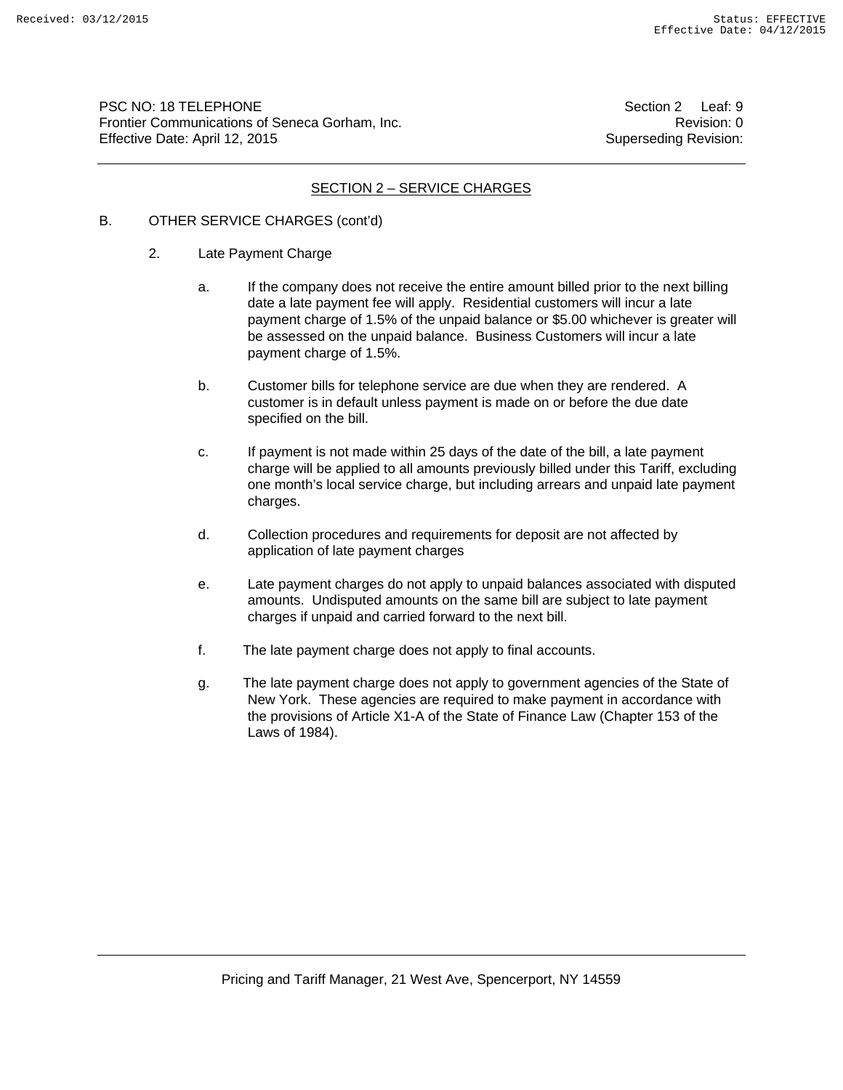PSC NO: 18 TELEPHONE Section 2 Leaf: 9 Frontier Communications of Seneca Gorham, Inc. **Revision: 0** Revision: 0 Effective Date: April 12, 2015 Superseding Revision:

## SECTION 2 – SERVICE CHARGES

## B. OTHER SERVICE CHARGES (cont'd)

- 2. Late Payment Charge
	- a. If the company does not receive the entire amount billed prior to the next billing date a late payment fee will apply. Residential customers will incur a late payment charge of 1.5% of the unpaid balance or \$5.00 whichever is greater will be assessed on the unpaid balance. Business Customers will incur a late payment charge of 1.5%.
	- b. Customer bills for telephone service are due when they are rendered. A customer is in default unless payment is made on or before the due date specified on the bill.
	- c. If payment is not made within 25 days of the date of the bill, a late payment charge will be applied to all amounts previously billed under this Tariff, excluding one month's local service charge, but including arrears and unpaid late payment charges.
	- d. Collection procedures and requirements for deposit are not affected by application of late payment charges
	- e. Late payment charges do not apply to unpaid balances associated with disputed amounts. Undisputed amounts on the same bill are subject to late payment charges if unpaid and carried forward to the next bill.
	- f. The late payment charge does not apply to final accounts.
	- g. The late payment charge does not apply to government agencies of the State of New York. These agencies are required to make payment in accordance with the provisions of Article X1-A of the State of Finance Law (Chapter 153 of the Laws of 1984).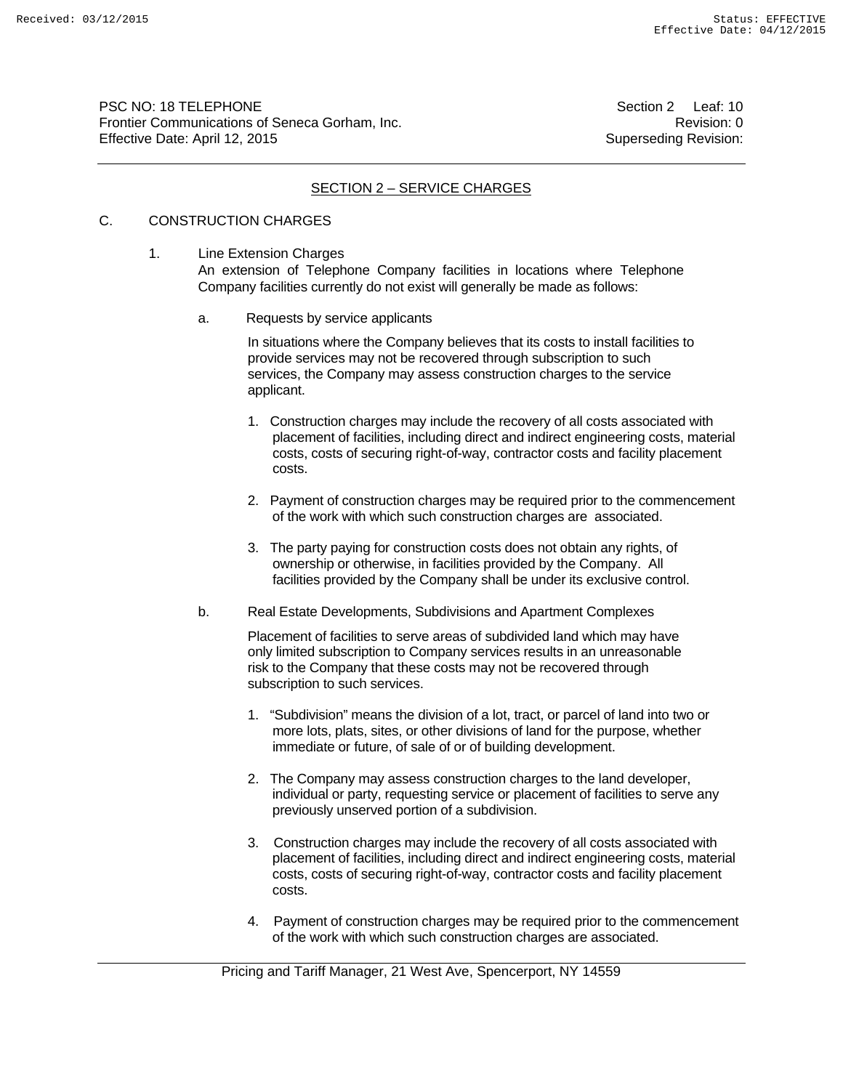PSC NO: 18 TELEPHONE Section 2 Leaf: 10 Frontier Communications of Seneca Gorham, Inc. **Revision: 0** Revision: 0 Effective Date: April 12, 2015 Superseding Revision:

# SECTION 2 – SERVICE CHARGES

# C. CONSTRUCTION CHARGES

1. Line Extension Charges An extension of Telephone Company facilities in locations where Telephone Company facilities currently do not exist will generally be made as follows:

a. Requests by service applicants

 In situations where the Company believes that its costs to install facilities to provide services may not be recovered through subscription to such services, the Company may assess construction charges to the service applicant.

- 1. Construction charges may include the recovery of all costs associated with placement of facilities, including direct and indirect engineering costs, material costs, costs of securing right-of-way, contractor costs and facility placement costs.
- 2. Payment of construction charges may be required prior to the commencement of the work with which such construction charges are associated.
- 3. The party paying for construction costs does not obtain any rights, of ownership or otherwise, in facilities provided by the Company. All facilities provided by the Company shall be under its exclusive control.
- b. Real Estate Developments, Subdivisions and Apartment Complexes

 Placement of facilities to serve areas of subdivided land which may have only limited subscription to Company services results in an unreasonable risk to the Company that these costs may not be recovered through subscription to such services.

- 1. "Subdivision" means the division of a lot, tract, or parcel of land into two or more lots, plats, sites, or other divisions of land for the purpose, whether immediate or future, of sale of or of building development.
- 2. The Company may assess construction charges to the land developer, individual or party, requesting service or placement of facilities to serve any previously unserved portion of a subdivision.
- 3. Construction charges may include the recovery of all costs associated with placement of facilities, including direct and indirect engineering costs, material costs, costs of securing right-of-way, contractor costs and facility placement costs.
- 4. Payment of construction charges may be required prior to the commencement of the work with which such construction charges are associated.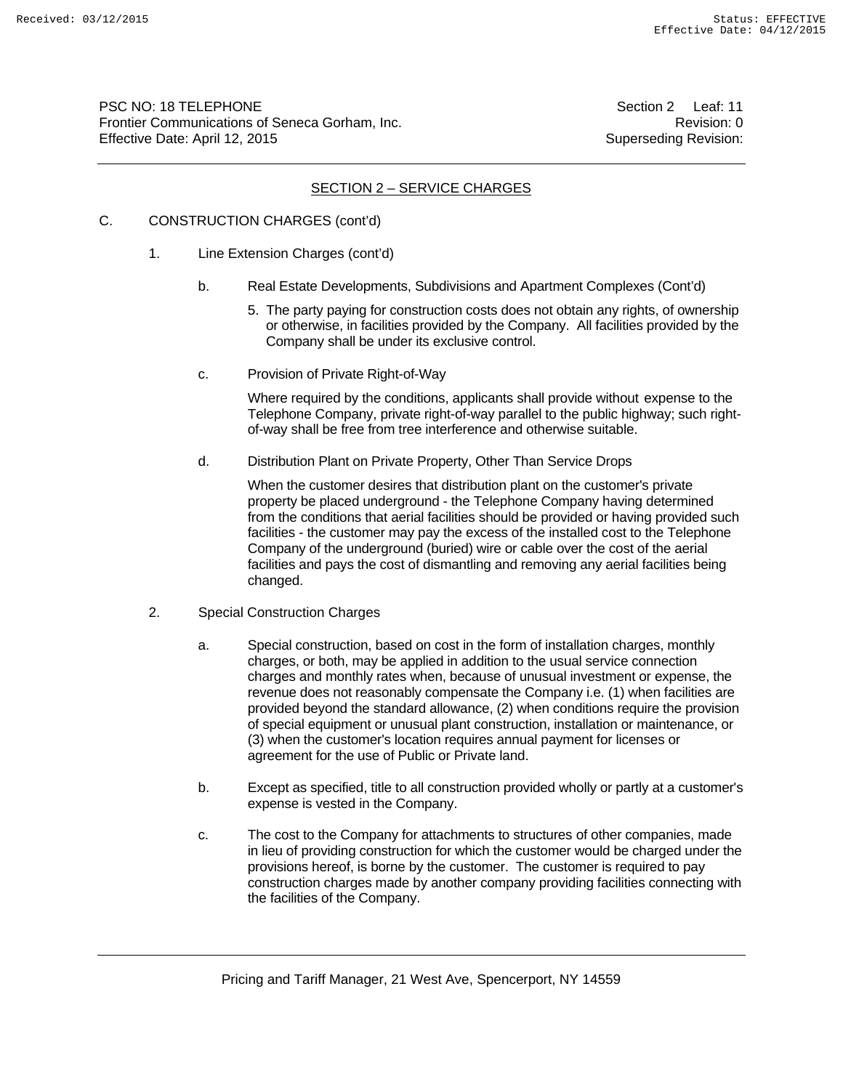PSC NO: 18 TELEPHONE **Section 2** Leaf: 11 Frontier Communications of Seneca Gorham, Inc. **Revision: 0** Revision: 0 Effective Date: April 12, 2015 Superseding Revision:

## SECTION 2 – SERVICE CHARGES

# C. CONSTRUCTION CHARGES (cont'd)

- 1. Line Extension Charges (cont'd)
	- b. Real Estate Developments, Subdivisions and Apartment Complexes (Cont'd)
		- 5. The party paying for construction costs does not obtain any rights, of ownership or otherwise, in facilities provided by the Company. All facilities provided by the Company shall be under its exclusive control.
	- c. Provision of Private Right-of-Way

 Where required by the conditions, applicants shall provide without expense to the Telephone Company, private right-of-way parallel to the public highway; such right of-way shall be free from tree interference and otherwise suitable.

d. Distribution Plant on Private Property, Other Than Service Drops

 When the customer desires that distribution plant on the customer's private property be placed underground - the Telephone Company having determined from the conditions that aerial facilities should be provided or having provided such facilities - the customer may pay the excess of the installed cost to the Telephone Company of the underground (buried) wire or cable over the cost of the aerial facilities and pays the cost of dismantling and removing any aerial facilities being changed.

- 2. Special Construction Charges
	- a. Special construction, based on cost in the form of installation charges, monthly charges, or both, may be applied in addition to the usual service connection charges and monthly rates when, because of unusual investment or expense, the revenue does not reasonably compensate the Company i.e. (1) when facilities are provided beyond the standard allowance, (2) when conditions require the provision of special equipment or unusual plant construction, installation or maintenance, or (3) when the customer's location requires annual payment for licenses or agreement for the use of Public or Private land.
	- b. Except as specified, title to all construction provided wholly or partly at a customer's expense is vested in the Company.
	- c. The cost to the Company for attachments to structures of other companies, made in lieu of providing construction for which the customer would be charged under the provisions hereof, is borne by the customer. The customer is required to pay construction charges made by another company providing facilities connecting with the facilities of the Company.